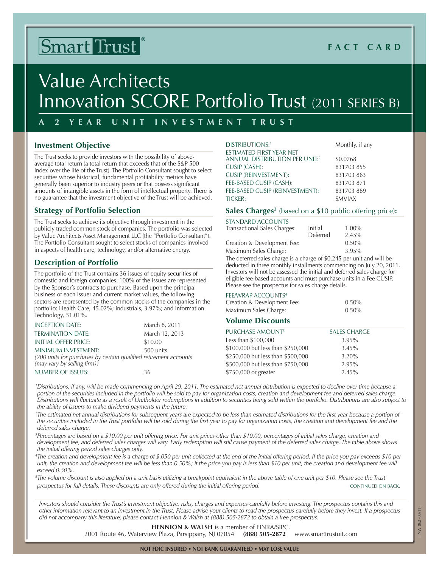# Smart Trust

# **Fact C ard**

# Value Architects Innovation SCORE Portfolio Trust (2011 SERIES B)

# **A 2 Y ear Uni t I n vest m e n t T rust**

# **Investment Objective**

The Trust seeks to provide investors with the possibility of aboveaverage total return (a total return that exceeds that of the S&P 500 Index over the life of the Trust). The Portfolio Consultant sought to select securities whose historical, fundamental profitability metrics have generally been superior to industry peers or that possess significant amounts of intangible assets in the form of intellectual property. There is no guarantee that the investment objective of the Trust will be achieved.

# **Strategy of Portfolio Selection**

The Trust seeks to achieve its objective through investment in the publicly traded common stock of companies. The portfolio was selected by Value Architects Asset Management LLC (the "Portfolio Consultant"). The Portfolio Consultant sought to select stocks of companies involved in aspects of health care, technology, and/or alternative energy.

# **Description of Portfolio**

The portfolio of the Trust contains 36 issues of equity securities of domestic and foreign companies. 100% of the issues are represented by the Sponsor's contracts to purchase. Based upon the principal business of each issuer and current market values, the following sectors are represented by the common stocks of the companies in the portfolio: Health Care, 45.02%; Industrials, 3.97%; and Information Technology, 51.01%.

| <b>INCEPTION DATE:</b>                                            | March 8, 2011  |
|-------------------------------------------------------------------|----------------|
| <b>TERMINATION DATE:</b>                                          | March 12, 2013 |
| INITIAL OFFER PRICE:                                              | \$10.00        |
| minimum investment:                                               | 500 units      |
| (200 units for purchases by certain qualified retirement accounts |                |
| (may vary by selling firm))                                       |                |
| NUMBER OF ISSUES:                                                 | 36             |

| DISTRIBUTIONS: <sup>1</sup>                | Monthly, if any |
|--------------------------------------------|-----------------|
| ESTIMATED FIRST YEAR NET                   |                 |
| ANNUAL DISTRIBUTION PER UNIT: <sup>2</sup> | \$0.0768        |
| <b>CUSIP (CASH):</b>                       | 831703 855      |
| <b>CUSIP (REINVESTMENT):</b>               | 831703863       |
| FEE-BASED CUSIP (CASH):                    | 831703871       |
| FEE-BASED CUSIP (REINVESTMENT):            | 831703889       |
| TICKER:                                    | <b>SMVIAX</b>   |

#### **Sales Charges3** (based on a \$10 public offering price)**:**

| STANDARD ACCOUNTS            |          |          |
|------------------------------|----------|----------|
| Transactional Sales Charges: | Initial  | $1.00\%$ |
|                              | Deferred | 2.45%    |
| Creation & Development Fee:  |          | 0.50%    |
| Maximum Sales Charge:        |          | 3.95%    |

The deferred sales charge is a charge of \$0.245 per unit and will be deducted in three monthly installments commencing on July 20, 2011. Investors will not be assessed the initial and deferred sales charge for eligible fee-based accounts and must purchase units in a Fee CUSIP. Please see the prospectus for sales charge details.

#### FEE/WRAP ACCOUNTS<sup>4</sup>

| Creation & Development Fee: | 0.50% |
|-----------------------------|-------|
| Maximum Sales Charge:       | 0.50% |

# **Volume Discounts**

| <b>PURCHASE AMOUNT5</b>           | <b>SALES CHARGE</b> |
|-----------------------------------|---------------------|
| Less than \$100,000               | 3.95%               |
| \$100,000 but less than \$250,000 | 3.45%               |
| \$250,000 but less than \$500,000 | 3.20%               |
| \$500,000 but less than \$750,000 | 2.95%               |
| \$750,000 or greater              | 2.45%               |

*1 Distributions, if any, will be made commencing on April 29, 2011. The estimated net annual distribution is expected to decline over time because a portion of the securities included in the portfolio will be sold to pay for organization costs, creation and development fee and deferred sales charge. Distributions will fluctuate as a result of Unitholder redemptions in addition to securities being sold within the portfolio. Distributions are also subject to the ability of issuers to make dividend payments in the future.*

<sup>2</sup>The estimated net annual distributions for subsequent years are expected to be less than estimated distributions for the first year because a portion of the securities included in the Trust portfolio will be sold during the first year to pay for organization costs, the creation and development fee and the *deferred sales charge.*

*3 Percentages are based on a \$10.00 per unit offering price. For unit prices other than \$10.00, percentages of initial sales charge, creation and development fee, and deferred sales charges will vary. Early redemption will still cause payment of the deferred sales charge. The table above shows the initial offering period sales charges only.* 

*4 The creation and development fee is a charge of \$.050 per unit collected at the end of the initial offering period. If the price you pay exceeds \$10 per unit, the creation and development fee will be less than 0.50%; if the price you pay is less than \$10 per unit, the creation and development fee will exceed 0.50%.*

*5 The volume discount is also applied on a unit basis utilizing a breakpoint equivalent in the above table of one unit per \$10. Please see the Trust prospectus for full details. These discounts are only offered during the initial offering period.* CONTINUED ON BACK.

*Investors should consider the Trust's investment objective, risks, charges and expenses carefully before investing. The prospectus contains this and other information relevant to an investment in the Trust. Please advise your clients to read the prospectus carefully before they invest. If a prospectus did not accompany this literature, please contact Hennion & Walsh at (888) 505-2872 to obtain a free prospectus.*

**Hennion & Walsh** is a member of FINRA/SIPC.

2001 Route 46, Waterview Plaza, Parsippany, NJ 07054 **(888) 505-2872** www.smarttrustuit.com